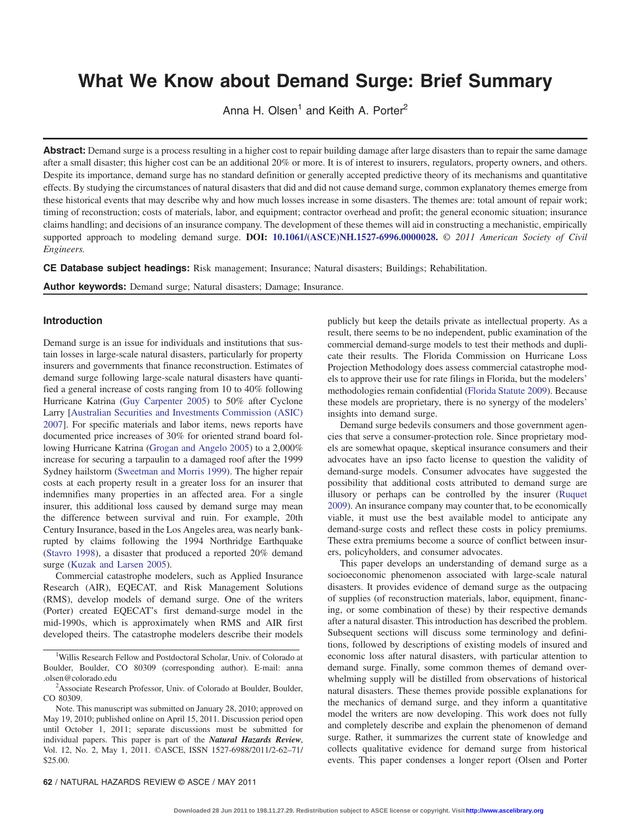# What We Know about Demand Surge: Brief Summary

Anna H. Olsen<sup>1</sup> and Keith A. Porter<sup>2</sup>

Abstract: Demand surge is a process resulting in a higher cost to repair building damage after large disasters than to repair the same damage after a small disaster; this higher cost can be an additional 20% or more. It is of interest to insurers, regulators, property owners, and others. Despite its importance, demand surge has no standard definition or generally accepted predictive theory of its mechanisms and quantitative effects. By studying the circumstances of natural disasters that did and did not cause demand surge, common explanatory themes emerge from these historical events that may describe why and how much losses increase in some disasters. The themes are: total amount of repair work; timing of reconstruction; costs of materials, labor, and equipment; contractor overhead and profit; the general economic situation; insurance claims handling; and decisions of an insurance company. The development of these themes will aid in constructing a mechanistic, empirically supported approach to modeling demand surge. DOI: [10.1061/\(ASCE\)NH.1527-6996.0000028.](http://dx.doi.org/10.1061/(ASCE)NH.1527-6996.0000028) © 2011 American Society of Civil Engineers.

CE Database subject headings: Risk management; Insurance; Natural disasters; Buildings; Rehabilitation.

Author keywords: Demand surge; Natural disasters; Damage; Insurance.

#### Introduction

Demand surge is an issue for individuals and institutions that sustain losses in large-scale natural disasters, particularly for property insurers and governments that finance reconstruction. Estimates of demand surge following large-scale natural disasters have quantified a general increase of costs ranging from 10 to 40% following Hurricane Katrina [\(Guy Carpenter 2005](#page-8-0)) to 50% after Cyclone Larry [[Australian Securities and Investments Commission \(ASIC\)](#page-8-1) [2007](#page-8-1)]. For specific materials and labor items, news reports have documented price increases of 30% for oriented strand board following Hurricane Katrina [\(Grogan and Angelo 2005](#page-8-2)) to a 2,000% increase for securing a tarpaulin to a damaged roof after the 1999 Sydney hailstorm [\(Sweetman and Morris 1999\)](#page-9-0). The higher repair costs at each property result in a greater loss for an insurer that indemnifies many properties in an affected area. For a single insurer, this additional loss caused by demand surge may mean the difference between survival and ruin. For example, 20th Century Insurance, based in the Los Angeles area, was nearly bankrupted by claims following the 1994 Northridge Earthquake [\(Stavro 1998\)](#page-9-1), a disaster that produced a reported 20% demand surge ([Kuzak and Larsen 2005\)](#page-8-3).

Commercial catastrophe modelers, such as Applied Insurance Research (AIR), EQECAT, and Risk Management Solutions (RMS), develop models of demand surge. One of the writers (Porter) created EQECAT's first demand-surge model in the mid-1990s, which is approximately when RMS and AIR first developed theirs. The catastrophe modelers describe their models

publicly but keep the details private as intellectual property. As a result, there seems to be no independent, public examination of the commercial demand-surge models to test their methods and duplicate their results. The Florida Commission on Hurricane Loss Projection Methodology does assess commercial catastrophe models to approve their use for rate filings in Florida, but the modelers' methodologies remain confidential [\(Florida Statute 2009\)](#page-8-4). Because these models are proprietary, there is no synergy of the modelers' insights into demand surge.

Demand surge bedevils consumers and those government agencies that serve a consumer-protection role. Since proprietary models are somewhat opaque, skeptical insurance consumers and their advocates have an ipso facto license to question the validity of demand-surge models. Consumer advocates have suggested the possibility that additional costs attributed to demand surge are illusory or perhaps can be controlled by the insurer ([Ruquet](#page-8-5) [2009](#page-8-5)). An insurance company may counter that, to be economically viable, it must use the best available model to anticipate any demand-surge costs and reflect these costs in policy premiums. These extra premiums become a source of conflict between insurers, policyholders, and consumer advocates.

This paper develops an understanding of demand surge as a socioeconomic phenomenon associated with large-scale natural disasters. It provides evidence of demand surge as the outpacing of supplies (of reconstruction materials, labor, equipment, financing, or some combination of these) by their respective demands after a natural disaster. This introduction has described the problem. Subsequent sections will discuss some terminology and definitions, followed by descriptions of existing models of insured and economic loss after natural disasters, with particular attention to demand surge. Finally, some common themes of demand overwhelming supply will be distilled from observations of historical natural disasters. These themes provide possible explanations for the mechanics of demand surge, and they inform a quantitative model the writers are now developing. This work does not fully and completely describe and explain the phenomenon of demand surge. Rather, it summarizes the current state of knowledge and collects qualitative evidence for demand surge from historical events. This paper condenses a longer report (Olsen and Porter

<sup>&</sup>lt;sup>1</sup>Willis Research Fellow and Postdoctoral Scholar, Univ. of Colorado at Boulder, Boulder, CO 80309 (corresponding author). E-mail: anna .olsen@colorado.edu <sup>2</sup>

<sup>&</sup>lt;sup>2</sup>Associate Research Professor, Univ. of Colorado at Boulder, Boulder, CO 80309.

Note. This manuscript was submitted on January 28, 2010; approved on May 19, 2010; published online on April 15, 2011. Discussion period open until October 1, 2011; separate discussions must be submitted for individual papers. This paper is part of the Natural Hazards Review, Vol. 12, No. 2, May 1, 2011. ©ASCE, ISSN 1527-6988/2011/2-62–71/ \$25.00.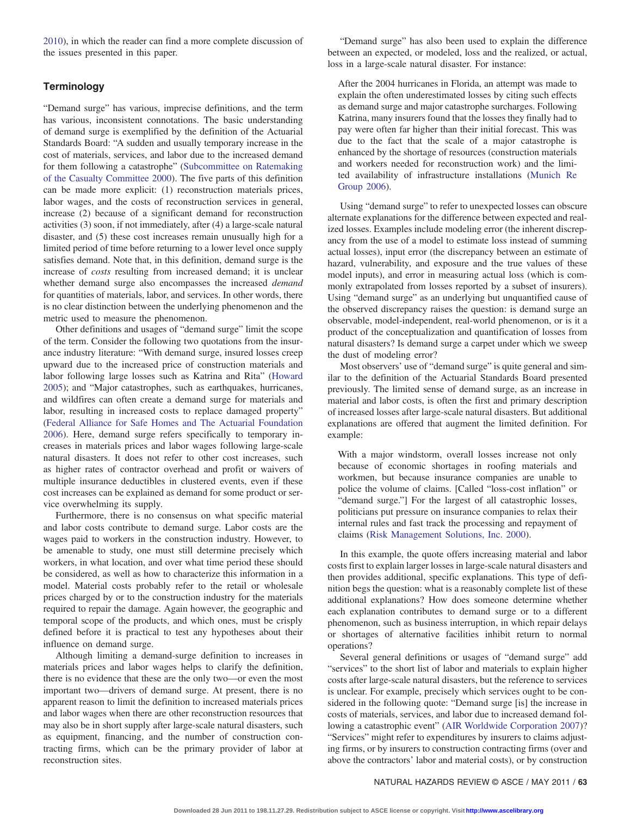[2010](#page-8-6)), in which the reader can find a more complete discussion of the issues presented in this paper.

## **Terminology**

"Demand surge" has various, imprecise definitions, and the term has various, inconsistent connotations. The basic understanding of demand surge is exemplified by the definition of the Actuarial Standards Board: "A sudden and usually temporary increase in the cost of materials, services, and labor due to the increased demand for them following a catastrophe" [\(Subcommittee on Ratemaking](#page-9-2) [of the Casualty Committee 2000\)](#page-9-2). The five parts of this definition can be made more explicit: (1) reconstruction materials prices, labor wages, and the costs of reconstruction services in general, increase (2) because of a significant demand for reconstruction activities (3) soon, if not immediately, after (4) a large-scale natural disaster, and (5) these cost increases remain unusually high for a limited period of time before returning to a lower level once supply satisfies demand. Note that, in this definition, demand surge is the increase of costs resulting from increased demand; it is unclear whether demand surge also encompasses the increased demand for quantities of materials, labor, and services. In other words, there is no clear distinction between the underlying phenomenon and the metric used to measure the phenomenon.

Other definitions and usages of "demand surge" limit the scope of the term. Consider the following two quotations from the insurance industry literature: "With demand surge, insured losses creep upward due to the increased price of construction materials and labor following large losses such as Katrina and Rita" ([Howard](#page-8-7) [2005](#page-8-7)); and "Major catastrophes, such as earthquakes, hurricanes, and wildfires can often create a demand surge for materials and labor, resulting in increased costs to replace damaged property" [\(Federal Alliance for Safe Homes and The Actuarial Foundation](#page-8-8) [2006](#page-8-8)). Here, demand surge refers specifically to temporary increases in materials prices and labor wages following large-scale natural disasters. It does not refer to other cost increases, such as higher rates of contractor overhead and profit or waivers of multiple insurance deductibles in clustered events, even if these cost increases can be explained as demand for some product or service overwhelming its supply.

Furthermore, there is no consensus on what specific material and labor costs contribute to demand surge. Labor costs are the wages paid to workers in the construction industry. However, to be amenable to study, one must still determine precisely which workers, in what location, and over what time period these should be considered, as well as how to characterize this information in a model. Material costs probably refer to the retail or wholesale prices charged by or to the construction industry for the materials required to repair the damage. Again however, the geographic and temporal scope of the products, and which ones, must be crisply defined before it is practical to test any hypotheses about their influence on demand surge.

Although limiting a demand-surge definition to increases in materials prices and labor wages helps to clarify the definition, there is no evidence that these are the only two—or even the most important two—drivers of demand surge. At present, there is no apparent reason to limit the definition to increased materials prices and labor wages when there are other reconstruction resources that may also be in short supply after large-scale natural disasters, such as equipment, financing, and the number of construction contracting firms, which can be the primary provider of labor at reconstruction sites.

"Demand surge" has also been used to explain the difference between an expected, or modeled, loss and the realized, or actual, loss in a large-scale natural disaster. For instance:

After the 2004 hurricanes in Florida, an attempt was made to explain the often underestimated losses by citing such effects as demand surge and major catastrophe surcharges. Following Katrina, many insurers found that the losses they finally had to pay were often far higher than their initial forecast. This was due to the fact that the scale of a major catastrophe is enhanced by the shortage of resources (construction materials and workers needed for reconstruction work) and the limited availability of infrastructure installations ([Munich Re](#page-8-9) [Group 2006\)](#page-8-9).

Using "demand surge" to refer to unexpected losses can obscure alternate explanations for the difference between expected and realized losses. Examples include modeling error (the inherent discrepancy from the use of a model to estimate loss instead of summing actual losses), input error (the discrepancy between an estimate of hazard, vulnerability, and exposure and the true values of these model inputs), and error in measuring actual loss (which is commonly extrapolated from losses reported by a subset of insurers). Using "demand surge" as an underlying but unquantified cause of the observed discrepancy raises the question: is demand surge an observable, model-independent, real-world phenomenon, or is it a product of the conceptualization and quantification of losses from natural disasters? Is demand surge a carpet under which we sweep the dust of modeling error?

Most observers' use of "demand surge" is quite general and similar to the definition of the Actuarial Standards Board presented previously. The limited sense of demand surge, as an increase in material and labor costs, is often the first and primary description of increased losses after large-scale natural disasters. But additional explanations are offered that augment the limited definition. For example:

With a major windstorm, overall losses increase not only because of economic shortages in roofing materials and workmen, but because insurance companies are unable to police the volume of claims. [Called "loss-cost inflation" or "demand surge."] For the largest of all catastrophic losses, politicians put pressure on insurance companies to relax their internal rules and fast track the processing and repayment of claims ([Risk Management Solutions, Inc. 2000](#page-8-10)).

In this example, the quote offers increasing material and labor costs first to explain larger losses in large-scale natural disasters and then provides additional, specific explanations. This type of definition begs the question: what is a reasonably complete list of these additional explanations? How does someone determine whether each explanation contributes to demand surge or to a different phenomenon, such as business interruption, in which repair delays or shortages of alternative facilities inhibit return to normal operations?

Several general definitions or usages of "demand surge" add "services" to the short list of labor and materials to explain higher costs after large-scale natural disasters, but the reference to services is unclear. For example, precisely which services ought to be considered in the following quote: "Demand surge [is] the increase in costs of materials, services, and labor due to increased demand following a catastrophic event" [\(AIR Worldwide Corporation 2007\)](#page-8-11)? "Services" might refer to expenditures by insurers to claims adjusting firms, or by insurers to construction contracting firms (over and above the contractors' labor and material costs), or by construction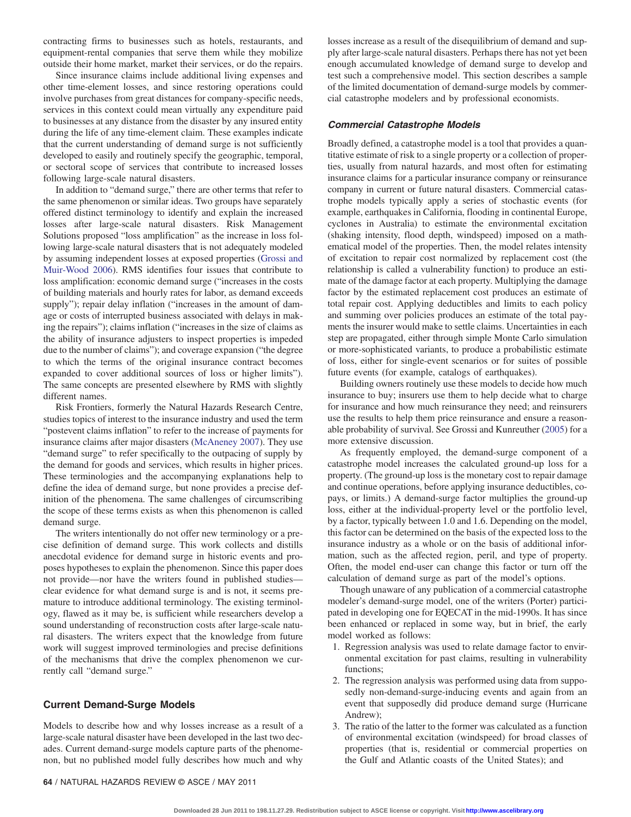contracting firms to businesses such as hotels, restaurants, and equipment-rental companies that serve them while they mobilize outside their home market, market their services, or do the repairs.

Since insurance claims include additional living expenses and other time-element losses, and since restoring operations could involve purchases from great distances for company-specific needs, services in this context could mean virtually any expenditure paid to businesses at any distance from the disaster by any insured entity during the life of any time-element claim. These examples indicate that the current understanding of demand surge is not sufficiently developed to easily and routinely specify the geographic, temporal, or sectoral scope of services that contribute to increased losses following large-scale natural disasters.

In addition to "demand surge," there are other terms that refer to the same phenomenon or similar ideas. Two groups have separately offered distinct terminology to identify and explain the increased losses after large-scale natural disasters. Risk Management Solutions proposed "loss amplification" as the increase in loss following large-scale natural disasters that is not adequately modeled by assuming independent losses at exposed properties [\(Grossi and](#page-8-12) [Muir-Wood 2006](#page-8-12)). RMS identifies four issues that contribute to loss amplification: economic demand surge ("increases in the costs of building materials and hourly rates for labor, as demand exceeds supply"); repair delay inflation ("increases in the amount of damage or costs of interrupted business associated with delays in making the repairs"); claims inflation ("increases in the size of claims as the ability of insurance adjusters to inspect properties is impeded due to the number of claims"); and coverage expansion ("the degree to which the terms of the original insurance contract becomes expanded to cover additional sources of loss or higher limits"). The same concepts are presented elsewhere by RMS with slightly different names.

Risk Frontiers, formerly the Natural Hazards Research Centre, studies topics of interest to the insurance industry and used the term "postevent claims inflation" to refer to the increase of payments for insurance claims after major disasters ([McAneney 2007\)](#page-8-13). They use "demand surge" to refer specifically to the outpacing of supply by the demand for goods and services, which results in higher prices. These terminologies and the accompanying explanations help to define the idea of demand surge, but none provides a precise definition of the phenomena. The same challenges of circumscribing the scope of these terms exists as when this phenomenon is called demand surge.

The writers intentionally do not offer new terminology or a precise definition of demand surge. This work collects and distills anecdotal evidence for demand surge in historic events and proposes hypotheses to explain the phenomenon. Since this paper does not provide—nor have the writers found in published studies clear evidence for what demand surge is and is not, it seems premature to introduce additional terminology. The existing terminology, flawed as it may be, is sufficient while researchers develop a sound understanding of reconstruction costs after large-scale natural disasters. The writers expect that the knowledge from future work will suggest improved terminologies and precise definitions of the mechanisms that drive the complex phenomenon we currently call "demand surge."

## Current Demand-Surge Models

Models to describe how and why losses increase as a result of a large-scale natural disaster have been developed in the last two decades. Current demand-surge models capture parts of the phenomenon, but no published model fully describes how much and why

losses increase as a result of the disequilibrium of demand and supply after large-scale natural disasters. Perhaps there has not yet been enough accumulated knowledge of demand surge to develop and test such a comprehensive model. This section describes a sample of the limited documentation of demand-surge models by commercial catastrophe modelers and by professional economists.

## Commercial Catastrophe Models

Broadly defined, a catastrophe model is a tool that provides a quantitative estimate of risk to a single property or a collection of properties, usually from natural hazards, and most often for estimating insurance claims for a particular insurance company or reinsurance company in current or future natural disasters. Commercial catastrophe models typically apply a series of stochastic events (for example, earthquakes in California, flooding in continental Europe, cyclones in Australia) to estimate the environmental excitation (shaking intensity, flood depth, windspeed) imposed on a mathematical model of the properties. Then, the model relates intensity of excitation to repair cost normalized by replacement cost (the relationship is called a vulnerability function) to produce an estimate of the damage factor at each property. Multiplying the damage factor by the estimated replacement cost produces an estimate of total repair cost. Applying deductibles and limits to each policy and summing over policies produces an estimate of the total payments the insurer would make to settle claims. Uncertainties in each step are propagated, either through simple Monte Carlo simulation or more-sophisticated variants, to produce a probabilistic estimate of loss, either for single-event scenarios or for suites of possible future events (for example, catalogs of earthquakes).

Building owners routinely use these models to decide how much insurance to buy; insurers use them to help decide what to charge for insurance and how much reinsurance they need; and reinsurers use the results to help them price reinsurance and ensure a reasonable probability of survival. See Grossi and Kunreuther ([2005\)](#page-8-14) for a more extensive discussion.

As frequently employed, the demand-surge component of a catastrophe model increases the calculated ground-up loss for a property. (The ground-up loss is the monetary cost to repair damage and continue operations, before applying insurance deductibles, copays, or limits.) A demand-surge factor multiplies the ground-up loss, either at the individual-property level or the portfolio level, by a factor, typically between 1.0 and 1.6. Depending on the model, this factor can be determined on the basis of the expected loss to the insurance industry as a whole or on the basis of additional information, such as the affected region, peril, and type of property. Often, the model end-user can change this factor or turn off the calculation of demand surge as part of the model's options.

Though unaware of any publication of a commercial catastrophe modeler's demand-surge model, one of the writers (Porter) participated in developing one for EQECAT in the mid-1990s. It has since been enhanced or replaced in some way, but in brief, the early model worked as follows:

- 1. Regression analysis was used to relate damage factor to environmental excitation for past claims, resulting in vulnerability functions;
- 2. The regression analysis was performed using data from supposedly non-demand-surge-inducing events and again from an event that supposedly did produce demand surge (Hurricane Andrew);
- 3. The ratio of the latter to the former was calculated as a function of environmental excitation (windspeed) for broad classes of properties (that is, residential or commercial properties on the Gulf and Atlantic coasts of the United States); and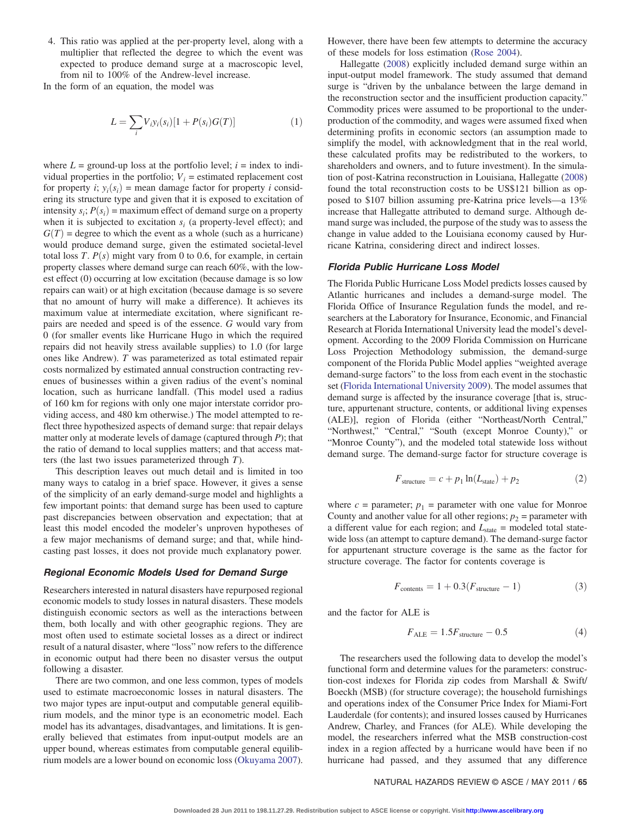4. This ratio was applied at the per-property level, along with a multiplier that reflected the degree to which the event was expected to produce demand surge at a macroscopic level, from nil to 100% of the Andrew-level increase.

In the form of an equation, the model was

$$
L = \sum_{i} V_{i} y_{i}(s_{i}) [1 + P(s_{i}) G(T)] \tag{1}
$$

where  $L =$  ground-up loss at the portfolio level;  $i =$  index to individual properties in the portfolio;  $V_i$  = estimated replacement cost for property i;  $y_i(s_i)$  = mean damage factor for property i considering its structure type and given that it is exposed to excitation of intensity  $s_i$ ;  $P(s_i)$  = maximum effect of demand surge on a property when it is subjected to excitation  $s_i$  (a property-level effect); and  $G(T)$  = degree to which the event as a whole (such as a hurricane) would produce demand surge, given the estimated societal-level total loss T.  $P(s)$  might vary from 0 to 0.6, for example, in certain property classes where demand surge can reach 60%, with the lowest effect (0) occurring at low excitation (because damage is so low repairs can wait) or at high excitation (because damage is so severe that no amount of hurry will make a difference). It achieves its maximum value at intermediate excitation, where significant repairs are needed and speed is of the essence. G would vary from 0 (for smaller events like Hurricane Hugo in which the required repairs did not heavily stress available supplies) to 1.0 (for large ones like Andrew). T was parameterized as total estimated repair costs normalized by estimated annual construction contracting revenues of businesses within a given radius of the event's nominal location, such as hurricane landfall. (This model used a radius of 160 km for regions with only one major interstate corridor providing access, and 480 km otherwise.) The model attempted to reflect three hypothesized aspects of demand surge: that repair delays matter only at moderate levels of damage (captured through P); that the ratio of demand to local supplies matters; and that access matters (the last two issues parameterized through T).

This description leaves out much detail and is limited in too many ways to catalog in a brief space. However, it gives a sense of the simplicity of an early demand-surge model and highlights a few important points: that demand surge has been used to capture past discrepancies between observation and expectation; that at least this model encoded the modeler's unproven hypotheses of a few major mechanisms of demand surge; and that, while hindcasting past losses, it does not provide much explanatory power.

#### Regional Economic Models Used for Demand Surge

Researchers interested in natural disasters have repurposed regional economic models to study losses in natural disasters. These models distinguish economic sectors as well as the interactions between them, both locally and with other geographic regions. They are most often used to estimate societal losses as a direct or indirect result of a natural disaster, where "loss" now refers to the difference in economic output had there been no disaster versus the output following a disaster.

There are two common, and one less common, types of models used to estimate macroeconomic losses in natural disasters. The two major types are input-output and computable general equilibrium models, and the minor type is an econometric model. Each model has its advantages, disadvantages, and limitations. It is generally believed that estimates from input-output models are an upper bound, whereas estimates from computable general equilibrium models are a lower bound on economic loss ([Okuyama 2007\)](#page-8-15).

However, there have been few attempts to determine the accuracy of these models for loss estimation [\(Rose 2004](#page-8-16)).

Hallegatte [\(2008](#page-8-17)) explicitly included demand surge within an input-output model framework. The study assumed that demand surge is "driven by the unbalance between the large demand in the reconstruction sector and the insufficient production capacity." Commodity prices were assumed to be proportional to the underproduction of the commodity, and wages were assumed fixed when determining profits in economic sectors (an assumption made to simplify the model, with acknowledgment that in the real world, these calculated profits may be redistributed to the workers, to shareholders and owners, and to future investment). In the simulation of post-Katrina reconstruction in Louisiana, Hallegatte ([2008\)](#page-8-17) found the total reconstruction costs to be US\$121 billion as opposed to \$107 billion assuming pre-Katrina price levels—a 13% increase that Hallegatte attributed to demand surge. Although demand surge was included, the purpose of the study was to assess the change in value added to the Louisiana economy caused by Hurricane Katrina, considering direct and indirect losses.

#### Florida Public Hurricane Loss Model

The Florida Public Hurricane Loss Model predicts losses caused by Atlantic hurricanes and includes a demand-surge model. The Florida Office of Insurance Regulation funds the model, and researchers at the Laboratory for Insurance, Economic, and Financial Research at Florida International University lead the model's development. According to the 2009 Florida Commission on Hurricane Loss Projection Methodology submission, the demand-surge component of the Florida Public Model applies "weighted average demand-surge factors" to the loss from each event in the stochastic set [\(Florida International University 2009\)](#page-8-18). The model assumes that demand surge is affected by the insurance coverage [that is, structure, appurtenant structure, contents, or additional living expenses (ALE)], region of Florida (either "Northeast/North Central," "Northwest," "Central," "South (except Monroe County)," or "Monroe County"), and the modeled total statewide loss without demand surge. The demand-surge factor for structure coverage is

$$
F_{\text{structure}} = c + p_1 \ln(L_{\text{state}}) + p_2 \tag{2}
$$

where  $c =$  parameter;  $p_1 =$  parameter with one value for Monroe County and another value for all other regions;  $p_2$  = parameter with a different value for each region; and  $L_{\text{state}} =$  modeled total statewide loss (an attempt to capture demand). The demand-surge factor for appurtenant structure coverage is the same as the factor for structure coverage. The factor for contents coverage is

$$
F_{\text{contents}} = 1 + 0.3(F_{\text{structure}} - 1) \tag{3}
$$

and the factor for ALE is

$$
F_{\text{ALE}} = 1.5F_{\text{structure}} - 0.5\tag{4}
$$

The researchers used the following data to develop the model's functional form and determine values for the parameters: construction-cost indexes for Florida zip codes from Marshall & Swift/ Boeckh (MSB) (for structure coverage); the household furnishings and operations index of the Consumer Price Index for Miami-Fort Lauderdale (for contents); and insured losses caused by Hurricanes Andrew, Charley, and Frances (for ALE). While developing the model, the researchers inferred what the MSB construction-cost index in a region affected by a hurricane would have been if no hurricane had passed, and they assumed that any difference

NATURAL HAZARDS REVIEW © ASCE / MAY 2011 / 65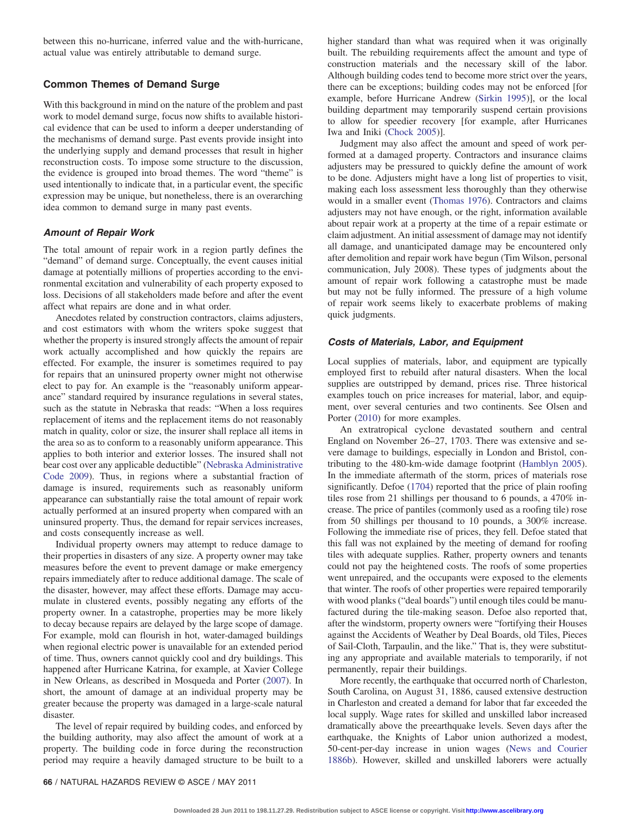between this no-hurricane, inferred value and the with-hurricane, actual value was entirely attributable to demand surge.

## Common Themes of Demand Surge

With this background in mind on the nature of the problem and past work to model demand surge, focus now shifts to available historical evidence that can be used to inform a deeper understanding of the mechanisms of demand surge. Past events provide insight into the underlying supply and demand processes that result in higher reconstruction costs. To impose some structure to the discussion, the evidence is grouped into broad themes. The word "theme" is used intentionally to indicate that, in a particular event, the specific expression may be unique, but nonetheless, there is an overarching idea common to demand surge in many past events.

### Amount of Repair Work

The total amount of repair work in a region partly defines the "demand" of demand surge. Conceptually, the event causes initial damage at potentially millions of properties according to the environmental excitation and vulnerability of each property exposed to loss. Decisions of all stakeholders made before and after the event affect what repairs are done and in what order.

Anecdotes related by construction contractors, claims adjusters, and cost estimators with whom the writers spoke suggest that whether the property is insured strongly affects the amount of repair work actually accomplished and how quickly the repairs are effected. For example, the insurer is sometimes required to pay for repairs that an uninsured property owner might not otherwise elect to pay for. An example is the "reasonably uniform appearance" standard required by insurance regulations in several states, such as the statute in Nebraska that reads: "When a loss requires replacement of items and the replacement items do not reasonably match in quality, color or size, the insurer shall replace all items in the area so as to conform to a reasonably uniform appearance. This applies to both interior and exterior losses. The insured shall not bear cost over any applicable deductible" [\(Nebraska Administrative](#page-8-19) [Code 2009](#page-8-19)). Thus, in regions where a substantial fraction of damage is insured, requirements such as reasonably uniform appearance can substantially raise the total amount of repair work actually performed at an insured property when compared with an uninsured property. Thus, the demand for repair services increases, and costs consequently increase as well.

Individual property owners may attempt to reduce damage to their properties in disasters of any size. A property owner may take measures before the event to prevent damage or make emergency repairs immediately after to reduce additional damage. The scale of the disaster, however, may affect these efforts. Damage may accumulate in clustered events, possibly negating any efforts of the property owner. In a catastrophe, properties may be more likely to decay because repairs are delayed by the large scope of damage. For example, mold can flourish in hot, water-damaged buildings when regional electric power is unavailable for an extended period of time. Thus, owners cannot quickly cool and dry buildings. This happened after Hurricane Katrina, for example, at Xavier College in New Orleans, as described in Mosqueda and Porter [\(2007](#page-8-20)). In short, the amount of damage at an individual property may be greater because the property was damaged in a large-scale natural disaster.

The level of repair required by building codes, and enforced by the building authority, may also affect the amount of work at a property. The building code in force during the reconstruction period may require a heavily damaged structure to be built to a higher standard than what was required when it was originally built. The rebuilding requirements affect the amount and type of construction materials and the necessary skill of the labor. Although building codes tend to become more strict over the years, there can be exceptions; building codes may not be enforced [for example, before Hurricane Andrew [\(Sirkin 1995\)](#page-9-3)], or the local building department may temporarily suspend certain provisions to allow for speedier recovery [for example, after Hurricanes Iwa and Iniki ([Chock 2005\)](#page-8-21)].

Judgment may also affect the amount and speed of work performed at a damaged property. Contractors and insurance claims adjusters may be pressured to quickly define the amount of work to be done. Adjusters might have a long list of properties to visit, making each loss assessment less thoroughly than they otherwise would in a smaller event [\(Thomas 1976\)](#page-9-4). Contractors and claims adjusters may not have enough, or the right, information available about repair work at a property at the time of a repair estimate or claim adjustment. An initial assessment of damage may not identify all damage, and unanticipated damage may be encountered only after demolition and repair work have begun (Tim Wilson, personal communication, July 2008). These types of judgments about the amount of repair work following a catastrophe must be made but may not be fully informed. The pressure of a high volume of repair work seems likely to exacerbate problems of making quick judgments.

#### Costs of Materials, Labor, and Equipment

Local supplies of materials, labor, and equipment are typically employed first to rebuild after natural disasters. When the local supplies are outstripped by demand, prices rise. Three historical examples touch on price increases for material, labor, and equipment, over several centuries and two continents. See Olsen and Porter [\(2010](#page-8-6)) for more examples.

An extratropical cyclone devastated southern and central England on November 26–27, 1703. There was extensive and severe damage to buildings, especially in London and Bristol, contributing to the 480-km-wide damage footprint ([Hamblyn 2005\)](#page-8-22). In the immediate aftermath of the storm, prices of materials rose significantly. Defoe [\(1704](#page-8-23)) reported that the price of plain roofing tiles rose from 21 shillings per thousand to 6 pounds, a 470% increase. The price of pantiles (commonly used as a roofing tile) rose from 50 shillings per thousand to 10 pounds, a 300% increase. Following the immediate rise of prices, they fell. Defoe stated that this fall was not explained by the meeting of demand for roofing tiles with adequate supplies. Rather, property owners and tenants could not pay the heightened costs. The roofs of some properties went unrepaired, and the occupants were exposed to the elements that winter. The roofs of other properties were repaired temporarily with wood planks ("deal boards") until enough tiles could be manufactured during the tile-making season. Defoe also reported that, after the windstorm, property owners were "fortifying their Houses against the Accidents of Weather by Deal Boards, old Tiles, Pieces of Sail-Cloth, Tarpaulin, and the like." That is, they were substituting any appropriate and available materials to temporarily, if not permanently, repair their buildings.

More recently, the earthquake that occurred north of Charleston, South Carolina, on August 31, 1886, caused extensive destruction in Charleston and created a demand for labor that far exceeded the local supply. Wage rates for skilled and unskilled labor increased dramatically above the preearthquake levels. Seven days after the earthquake, the Knights of Labor union authorized a modest, 50-cent-per-day increase in union wages [\(News and Courier](#page-8-24) [1886b\)](#page-8-24). However, skilled and unskilled laborers were actually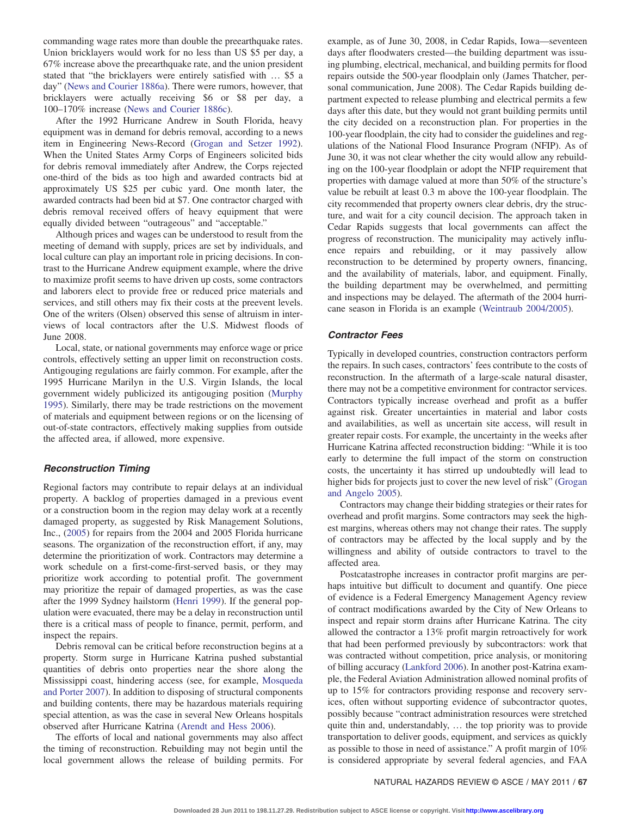commanding wage rates more than double the preearthquake rates. Union bricklayers would work for no less than US \$5 per day, a 67% increase above the preearthquake rate, and the union president stated that "the bricklayers were entirely satisfied with … \$5 a day" [\(News and Courier 1886a](#page-8-25)). There were rumors, however, that bricklayers were actually receiving \$6 or \$8 per day, a 100–170% increase ([News and Courier 1886c](#page-8-26)).

After the 1992 Hurricane Andrew in South Florida, heavy equipment was in demand for debris removal, according to a news item in Engineering News-Record [\(Grogan and Setzer 1992\)](#page-8-27). When the United States Army Corps of Engineers solicited bids for debris removal immediately after Andrew, the Corps rejected one-third of the bids as too high and awarded contracts bid at approximately US \$25 per cubic yard. One month later, the awarded contracts had been bid at \$7. One contractor charged with debris removal received offers of heavy equipment that were equally divided between "outrageous" and "acceptable."

Although prices and wages can be understood to result from the meeting of demand with supply, prices are set by individuals, and local culture can play an important role in pricing decisions. In contrast to the Hurricane Andrew equipment example, where the drive to maximize profit seems to have driven up costs, some contractors and laborers elect to provide free or reduced price materials and services, and still others may fix their costs at the preevent levels. One of the writers (Olsen) observed this sense of altruism in interviews of local contractors after the U.S. Midwest floods of June 2008.

Local, state, or national governments may enforce wage or price controls, effectively setting an upper limit on reconstruction costs. Antigouging regulations are fairly common. For example, after the 1995 Hurricane Marilyn in the U.S. Virgin Islands, the local government widely publicized its antigouging position ([Murphy](#page-8-28) [1995](#page-8-28)). Similarly, there may be trade restrictions on the movement of materials and equipment between regions or on the licensing of out-of-state contractors, effectively making supplies from outside the affected area, if allowed, more expensive.

## Reconstruction Timing

Regional factors may contribute to repair delays at an individual property. A backlog of properties damaged in a previous event or a construction boom in the region may delay work at a recently damaged property, as suggested by Risk Management Solutions, Inc., ([2005\)](#page-8-29) for repairs from the 2004 and 2005 Florida hurricane seasons. The organization of the reconstruction effort, if any, may determine the prioritization of work. Contractors may determine a work schedule on a first-come-first-served basis, or they may prioritize work according to potential profit. The government may prioritize the repair of damaged properties, as was the case after the 1999 Sydney hailstorm [\(Henri 1999](#page-8-30)). If the general population were evacuated, there may be a delay in reconstruction until there is a critical mass of people to finance, permit, perform, and inspect the repairs.

Debris removal can be critical before reconstruction begins at a property. Storm surge in Hurricane Katrina pushed substantial quantities of debris onto properties near the shore along the Mississippi coast, hindering access (see, for example, [Mosqueda](#page-8-20) [and Porter 2007\)](#page-8-20). In addition to disposing of structural components and building contents, there may be hazardous materials requiring special attention, as was the case in several New Orleans hospitals observed after Hurricane Katrina [\(Arendt and Hess 2006](#page-8-31)).

The efforts of local and national governments may also affect the timing of reconstruction. Rebuilding may not begin until the local government allows the release of building permits. For example, as of June 30, 2008, in Cedar Rapids, Iowa—seventeen days after floodwaters crested—the building department was issuing plumbing, electrical, mechanical, and building permits for flood repairs outside the 500-year floodplain only (James Thatcher, personal communication, June 2008). The Cedar Rapids building department expected to release plumbing and electrical permits a few days after this date, but they would not grant building permits until the city decided on a reconstruction plan. For properties in the 100-year floodplain, the city had to consider the guidelines and regulations of the National Flood Insurance Program (NFIP). As of June 30, it was not clear whether the city would allow any rebuilding on the 100-year floodplain or adopt the NFIP requirement that properties with damage valued at more than 50% of the structure's value be rebuilt at least 0.3 m above the 100-year floodplain. The city recommended that property owners clear debris, dry the structure, and wait for a city council decision. The approach taken in Cedar Rapids suggests that local governments can affect the progress of reconstruction. The municipality may actively influence repairs and rebuilding, or it may passively allow reconstruction to be determined by property owners, financing, and the availability of materials, labor, and equipment. Finally, the building department may be overwhelmed, and permitting and inspections may be delayed. The aftermath of the 2004 hurricane season in Florida is an example [\(Weintraub 2004/2005](#page-9-5)).

### Contractor Fees

Typically in developed countries, construction contractors perform the repairs. In such cases, contractors' fees contribute to the costs of reconstruction. In the aftermath of a large-scale natural disaster, there may not be a competitive environment for contractor services. Contractors typically increase overhead and profit as a buffer against risk. Greater uncertainties in material and labor costs and availabilities, as well as uncertain site access, will result in greater repair costs. For example, the uncertainty in the weeks after Hurricane Katrina affected reconstruction bidding: "While it is too early to determine the full impact of the storm on construction costs, the uncertainty it has stirred up undoubtedly will lead to higher bids for projects just to cover the new level of risk" ([Grogan](#page-8-2) [and Angelo 2005](#page-8-2)).

Contractors may change their bidding strategies or their rates for overhead and profit margins. Some contractors may seek the highest margins, whereas others may not change their rates. The supply of contractors may be affected by the local supply and by the willingness and ability of outside contractors to travel to the affected area.

Postcatastrophe increases in contractor profit margins are perhaps intuitive but difficult to document and quantify. One piece of evidence is a Federal Emergency Management Agency review of contract modifications awarded by the City of New Orleans to inspect and repair storm drains after Hurricane Katrina. The city allowed the contractor a 13% profit margin retroactively for work that had been performed previously by subcontractors: work that was contracted without competition, price analysis, or monitoring of billing accuracy [\(Lankford 2006\)](#page-8-32). In another post-Katrina example, the Federal Aviation Administration allowed nominal profits of up to 15% for contractors providing response and recovery services, often without supporting evidence of subcontractor quotes, possibly because "contract administration resources were stretched quite thin and, understandably, … the top priority was to provide transportation to deliver goods, equipment, and services as quickly as possible to those in need of assistance." A profit margin of 10% is considered appropriate by several federal agencies, and FAA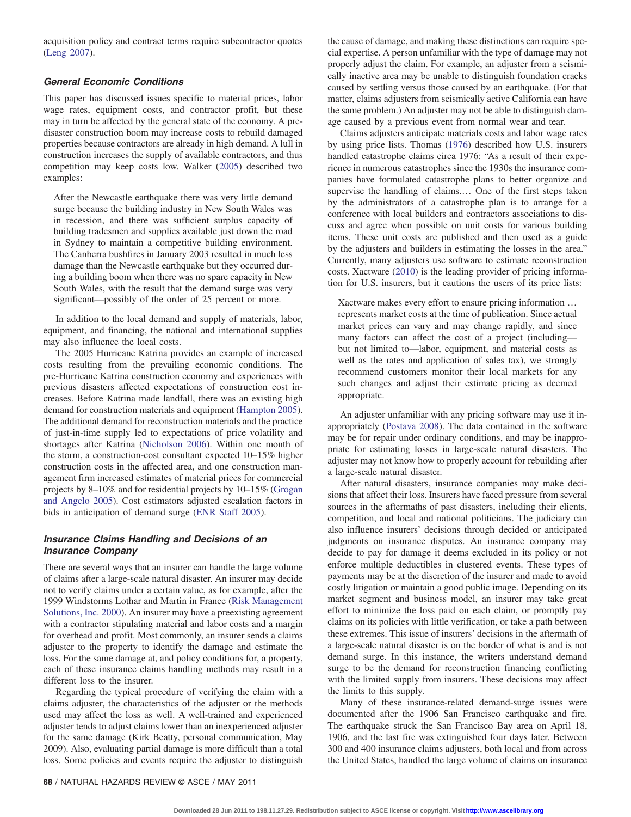acquisition policy and contract terms require subcontractor quotes [\(Leng 2007\)](#page-8-33).

#### General Economic Conditions

This paper has discussed issues specific to material prices, labor wage rates, equipment costs, and contractor profit, but these may in turn be affected by the general state of the economy. A predisaster construction boom may increase costs to rebuild damaged properties because contractors are already in high demand. A lull in construction increases the supply of available contractors, and thus competition may keep costs low. Walker ([2005\)](#page-9-6) described two examples:

After the Newcastle earthquake there was very little demand surge because the building industry in New South Wales was in recession, and there was sufficient surplus capacity of building tradesmen and supplies available just down the road in Sydney to maintain a competitive building environment. The Canberra bushfires in January 2003 resulted in much less damage than the Newcastle earthquake but they occurred during a building boom when there was no spare capacity in New South Wales, with the result that the demand surge was very significant—possibly of the order of 25 percent or more.

In addition to the local demand and supply of materials, labor, equipment, and financing, the national and international supplies may also influence the local costs.

The 2005 Hurricane Katrina provides an example of increased costs resulting from the prevailing economic conditions. The pre-Hurricane Katrina construction economy and experiences with previous disasters affected expectations of construction cost increases. Before Katrina made landfall, there was an existing high demand for construction materials and equipment [\(Hampton 2005\)](#page-8-34). The additional demand for reconstruction materials and the practice of just-in-time supply led to expectations of price volatility and shortages after Katrina [\(Nicholson 2006](#page-8-35)). Within one month of the storm, a construction-cost consultant expected 10–15% higher construction costs in the affected area, and one construction management firm increased estimates of material prices for commercial projects by 8–10% and for residential projects by 10–15% ([Grogan](#page-8-2) [and Angelo 2005\)](#page-8-2). Cost estimators adjusted escalation factors in bids in anticipation of demand surge ([ENR Staff 2005](#page-8-36)).

## Insurance Claims Handling and Decisions of an Insurance Company

There are several ways that an insurer can handle the large volume of claims after a large-scale natural disaster. An insurer may decide not to verify claims under a certain value, as for example, after the 1999 Windstorms Lothar and Martin in France ([Risk Management](#page-8-10) [Solutions, Inc. 2000\)](#page-8-10). An insurer may have a preexisting agreement with a contractor stipulating material and labor costs and a margin for overhead and profit. Most commonly, an insurer sends a claims adjuster to the property to identify the damage and estimate the loss. For the same damage at, and policy conditions for, a property, each of these insurance claims handling methods may result in a different loss to the insurer.

Regarding the typical procedure of verifying the claim with a claims adjuster, the characteristics of the adjuster or the methods used may affect the loss as well. A well-trained and experienced adjuster tends to adjust claims lower than an inexperienced adjuster for the same damage (Kirk Beatty, personal communication, May 2009). Also, evaluating partial damage is more difficult than a total loss. Some policies and events require the adjuster to distinguish

the cause of damage, and making these distinctions can require special expertise. A person unfamiliar with the type of damage may not properly adjust the claim. For example, an adjuster from a seismically inactive area may be unable to distinguish foundation cracks caused by settling versus those caused by an earthquake. (For that matter, claims adjusters from seismically active California can have the same problem.) An adjuster may not be able to distinguish damage caused by a previous event from normal wear and tear.

Claims adjusters anticipate materials costs and labor wage rates by using price lists. Thomas [\(1976](#page-9-4)) described how U.S. insurers handled catastrophe claims circa 1976: "As a result of their experience in numerous catastrophes since the 1930s the insurance companies have formulated catastrophe plans to better organize and supervise the handling of claims.… One of the first steps taken by the administrators of a catastrophe plan is to arrange for a conference with local builders and contractors associations to discuss and agree when possible on unit costs for various building items. These unit costs are published and then used as a guide by the adjusters and builders in estimating the losses in the area." Currently, many adjusters use software to estimate reconstruction costs. Xactware ([2010\)](#page-9-7) is the leading provider of pricing information for U.S. insurers, but it cautions the users of its price lists:

Xactware makes every effort to ensure pricing information … represents market costs at the time of publication. Since actual market prices can vary and may change rapidly, and since many factors can affect the cost of a project (including but not limited to—labor, equipment, and material costs as well as the rates and application of sales tax), we strongly recommend customers monitor their local markets for any such changes and adjust their estimate pricing as deemed appropriate.

An adjuster unfamiliar with any pricing software may use it inappropriately ([Postava 2008](#page-8-37)). The data contained in the software may be for repair under ordinary conditions, and may be inappropriate for estimating losses in large-scale natural disasters. The adjuster may not know how to properly account for rebuilding after a large-scale natural disaster.

After natural disasters, insurance companies may make decisions that affect their loss. Insurers have faced pressure from several sources in the aftermaths of past disasters, including their clients, competition, and local and national politicians. The judiciary can also influence insurers' decisions through decided or anticipated judgments on insurance disputes. An insurance company may decide to pay for damage it deems excluded in its policy or not enforce multiple deductibles in clustered events. These types of payments may be at the discretion of the insurer and made to avoid costly litigation or maintain a good public image. Depending on its market segment and business model, an insurer may take great effort to minimize the loss paid on each claim, or promptly pay claims on its policies with little verification, or take a path between these extremes. This issue of insurers' decisions in the aftermath of a large-scale natural disaster is on the border of what is and is not demand surge. In this instance, the writers understand demand surge to be the demand for reconstruction financing conflicting with the limited supply from insurers. These decisions may affect the limits to this supply.

Many of these insurance-related demand-surge issues were documented after the 1906 San Francisco earthquake and fire. The earthquake struck the San Francisco Bay area on April 18, 1906, and the last fire was extinguished four days later. Between 300 and 400 insurance claims adjusters, both local and from across the United States, handled the large volume of claims on insurance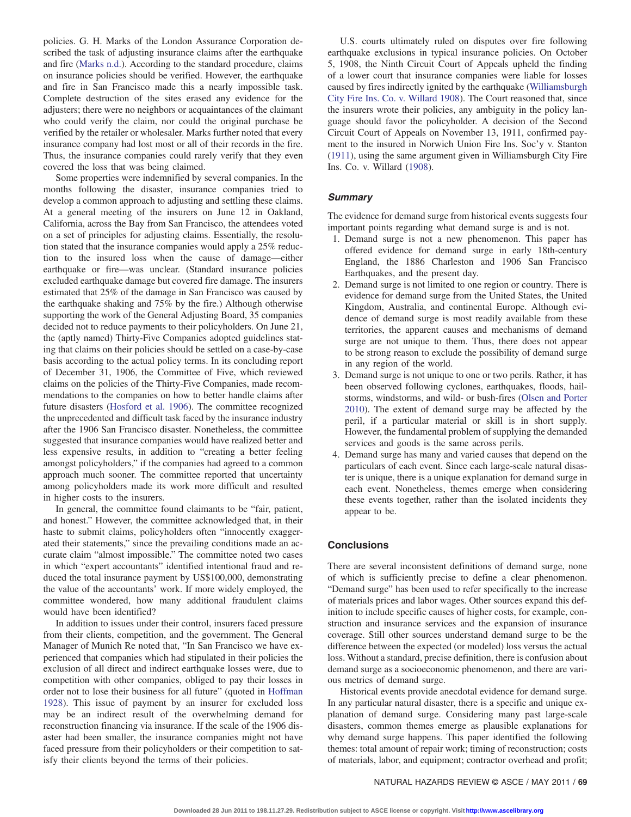policies. G. H. Marks of the London Assurance Corporation described the task of adjusting insurance claims after the earthquake and fire ([Marks n.d.\)](#page-8-38). According to the standard procedure, claims on insurance policies should be verified. However, the earthquake and fire in San Francisco made this a nearly impossible task. Complete destruction of the sites erased any evidence for the adjusters; there were no neighbors or acquaintances of the claimant who could verify the claim, nor could the original purchase be verified by the retailer or wholesaler. Marks further noted that every insurance company had lost most or all of their records in the fire. Thus, the insurance companies could rarely verify that they even covered the loss that was being claimed.

Some properties were indemnified by several companies. In the months following the disaster, insurance companies tried to develop a common approach to adjusting and settling these claims. At a general meeting of the insurers on June 12 in Oakland, California, across the Bay from San Francisco, the attendees voted on a set of principles for adjusting claims. Essentially, the resolution stated that the insurance companies would apply a 25% reduction to the insured loss when the cause of damage—either earthquake or fire—was unclear. (Standard insurance policies excluded earthquake damage but covered fire damage. The insurers estimated that 25% of the damage in San Francisco was caused by the earthquake shaking and 75% by the fire.) Although otherwise supporting the work of the General Adjusting Board, 35 companies decided not to reduce payments to their policyholders. On June 21, the (aptly named) Thirty-Five Companies adopted guidelines stating that claims on their policies should be settled on a case-by-case basis according to the actual policy terms. In its concluding report of December 31, 1906, the Committee of Five, which reviewed claims on the policies of the Thirty-Five Companies, made recommendations to the companies on how to better handle claims after future disasters ([Hosford et al. 1906\)](#page-8-39). The committee recognized the unprecedented and difficult task faced by the insurance industry after the 1906 San Francisco disaster. Nonetheless, the committee suggested that insurance companies would have realized better and less expensive results, in addition to "creating a better feeling amongst policyholders," if the companies had agreed to a common approach much sooner. The committee reported that uncertainty among policyholders made its work more difficult and resulted in higher costs to the insurers.

In general, the committee found claimants to be "fair, patient, and honest." However, the committee acknowledged that, in their haste to submit claims, policyholders often "innocently exaggerated their statements," since the prevailing conditions made an accurate claim "almost impossible." The committee noted two cases in which "expert accountants" identified intentional fraud and reduced the total insurance payment by US\$100,000, demonstrating the value of the accountants' work. If more widely employed, the committee wondered, how many additional fraudulent claims would have been identified?

In addition to issues under their control, insurers faced pressure from their clients, competition, and the government. The General Manager of Munich Re noted that, "In San Francisco we have experienced that companies which had stipulated in their policies the exclusion of all direct and indirect earthquake losses were, due to competition with other companies, obliged to pay their losses in order not to lose their business for all future" (quoted in [Hoffman](#page-8-40) [1928](#page-8-40)). This issue of payment by an insurer for excluded loss may be an indirect result of the overwhelming demand for reconstruction financing via insurance. If the scale of the 1906 disaster had been smaller, the insurance companies might not have faced pressure from their policyholders or their competition to satisfy their clients beyond the terms of their policies.

U.S. courts ultimately ruled on disputes over fire following earthquake exclusions in typical insurance policies. On October 5, 1908, the Ninth Circuit Court of Appeals upheld the finding of a lower court that insurance companies were liable for losses caused by fires indirectly ignited by the earthquake [\(Williamsburgh](#page-9-8) [City Fire Ins. Co. v. Willard 1908](#page-9-8)). The Court reasoned that, since the insurers wrote their policies, any ambiguity in the policy language should favor the policyholder. A decision of the Second Circuit Court of Appeals on November 13, 1911, confirmed payment to the insured in Norwich Union Fire Ins. Soc'y v. Stanton [\(1911](#page-8-41)), using the same argument given in Williamsburgh City Fire Ins. Co. v. Willard ([1908\)](#page-9-8).

## **Summary**

The evidence for demand surge from historical events suggests four important points regarding what demand surge is and is not.

- 1. Demand surge is not a new phenomenon. This paper has offered evidence for demand surge in early 18th-century England, the 1886 Charleston and 1906 San Francisco Earthquakes, and the present day.
- 2. Demand surge is not limited to one region or country. There is evidence for demand surge from the United States, the United Kingdom, Australia, and continental Europe. Although evidence of demand surge is most readily available from these territories, the apparent causes and mechanisms of demand surge are not unique to them. Thus, there does not appear to be strong reason to exclude the possibility of demand surge in any region of the world.
- 3. Demand surge is not unique to one or two perils. Rather, it has been observed following cyclones, earthquakes, floods, hailstorms, windstorms, and wild- or bush-fires [\(Olsen and Porter](#page-8-6) [2010\)](#page-8-6). The extent of demand surge may be affected by the peril, if a particular material or skill is in short supply. However, the fundamental problem of supplying the demanded services and goods is the same across perils.
- 4. Demand surge has many and varied causes that depend on the particulars of each event. Since each large-scale natural disaster is unique, there is a unique explanation for demand surge in each event. Nonetheless, themes emerge when considering these events together, rather than the isolated incidents they appear to be.

## **Conclusions**

There are several inconsistent definitions of demand surge, none of which is sufficiently precise to define a clear phenomenon. "Demand surge" has been used to refer specifically to the increase of materials prices and labor wages. Other sources expand this definition to include specific causes of higher costs, for example, construction and insurance services and the expansion of insurance coverage. Still other sources understand demand surge to be the difference between the expected (or modeled) loss versus the actual loss. Without a standard, precise definition, there is confusion about demand surge as a socioeconomic phenomenon, and there are various metrics of demand surge.

Historical events provide anecdotal evidence for demand surge. In any particular natural disaster, there is a specific and unique explanation of demand surge. Considering many past large-scale disasters, common themes emerge as plausible explanations for why demand surge happens. This paper identified the following themes: total amount of repair work; timing of reconstruction; costs of materials, labor, and equipment; contractor overhead and profit;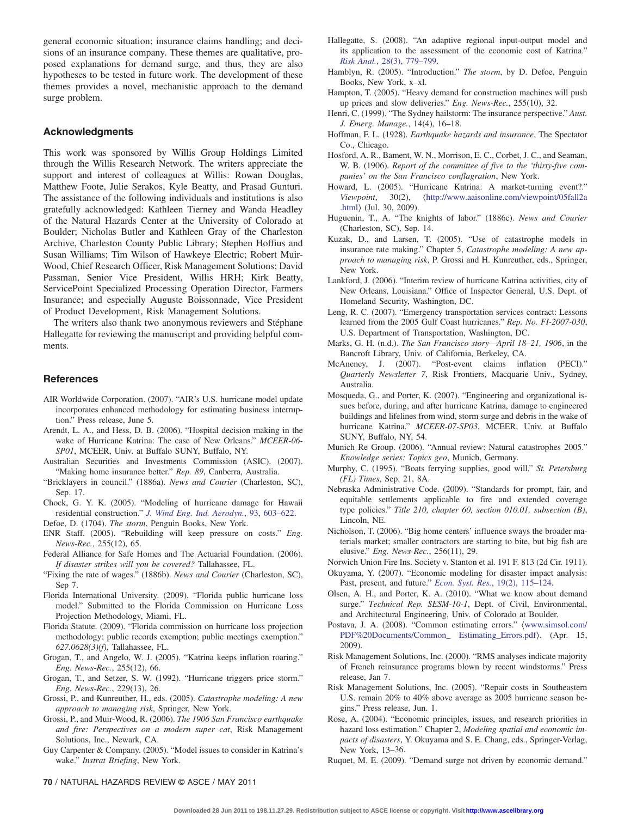general economic situation; insurance claims handling; and decisions of an insurance company. These themes are qualitative, proposed explanations for demand surge, and thus, they are also hypotheses to be tested in future work. The development of these themes provides a novel, mechanistic approach to the demand surge problem.

#### Acknowledgments

This work was sponsored by Willis Group Holdings Limited through the Willis Research Network. The writers appreciate the support and interest of colleagues at Willis: Rowan Douglas, Matthew Foote, Julie Serakos, Kyle Beatty, and Prasad Gunturi. The assistance of the following individuals and institutions is also gratefully acknowledged: Kathleen Tierney and Wanda Headley of the Natural Hazards Center at the University of Colorado at Boulder; Nicholas Butler and Kathleen Gray of the Charleston Archive, Charleston County Public Library; Stephen Hoffius and Susan Williams; Tim Wilson of Hawkeye Electric; Robert Muir-Wood, Chief Research Officer, Risk Management Solutions; David Passman, Senior Vice President, Willis HRH; Kirk Beatty, ServicePoint Specialized Processing Operation Director, Farmers Insurance; and especially Auguste Boissonnade, Vice President of Product Development, Risk Management Solutions.

The writers also thank two anonymous reviewers and Stéphane Hallegatte for reviewing the manuscript and providing helpful comments.

#### <span id="page-8-11"></span>References

- AIR Worldwide Corporation. (2007). "AIR's U.S. hurricane model update incorporates enhanced methodology for estimating business interruption." Press release, June 5.
- <span id="page-8-31"></span>Arendt, L. A., and Hess, D. B. (2006). "Hospital decision making in the wake of Hurricane Katrina: The case of New Orleans." MCEER-06- SP01, MCEER, Univ. at Buffalo SUNY, Buffalo, NY.
- <span id="page-8-25"></span><span id="page-8-1"></span>Australian Securities and Investments Commission (ASIC). (2007). "Making home insurance better." Rep. 89, Canberra, Australia.
- "Bricklayers in council." (1886a). News and Courier (Charleston, SC), Sep. 17.
- <span id="page-8-21"></span>Chock, G. Y. K. (2005). "Modeling of hurricane damage for Hawaii residential construction." [J. Wind Eng. Ind. Aerodyn.](http://dx.doi.org/10.1016/j.jweia.2005.06.001), 93, 603–622.
- <span id="page-8-36"></span><span id="page-8-23"></span>Defoe, D. (1704). The storm, Penguin Books, New York. ENR Staff. (2005). "Rebuilding will keep pressure on costs." Eng. News-Rec., 255(12), 65.
- <span id="page-8-8"></span>Federal Alliance for Safe Homes and The Actuarial Foundation. (2006). If disaster strikes will you be covered? Tallahassee, FL.
- <span id="page-8-24"></span>"Fixing the rate of wages." (1886b). News and Courier (Charleston, SC), Sep 7.
- <span id="page-8-18"></span>Florida International University. (2009). "Florida public hurricane loss model." Submitted to the Florida Commission on Hurricane Loss Projection Methodology, Miami, FL.
- <span id="page-8-4"></span>Florida Statute. (2009). "Florida commission on hurricane loss projection methodology; public records exemption; public meetings exemption." 627.0628(3)(f), Tallahassee, FL.
- <span id="page-8-2"></span>Grogan, T., and Angelo, W. J. (2005). "Katrina keeps inflation roaring." Eng. News-Rec., 255(12), 66.
- <span id="page-8-27"></span>Grogan, T., and Setzer, S. W. (1992). "Hurricane triggers price storm." Eng. News-Rec., 229(13), 26.
- <span id="page-8-14"></span>Grossi, P., and Kunreuther, H., eds. (2005). Catastrophe modeling: A new approach to managing risk, Springer, New York.
- <span id="page-8-12"></span>Grossi, P., and Muir-Wood, R. (2006). The 1906 San Francisco earthquake and fire: Perspectives on a modern super cat, Risk Management Solutions, Inc., Newark, CA.
- <span id="page-8-0"></span>Guy Carpenter & Company. (2005). "Model issues to consider in Katrina's wake." Instrat Briefing, New York.
- <span id="page-8-17"></span>Hallegatte, S. (2008). "An adaptive regional input-output model and its application to the assessment of the economic cost of Katrina." Risk Anal.[, 28\(3\), 779](http://dx.doi.org/10.1111/j.1539-6924.2008.01046.x)–799.
- <span id="page-8-22"></span>Hamblyn, R. (2005). "Introduction." The storm, by D. Defoe, Penguin Books, New York, x–xl.
- <span id="page-8-34"></span>Hampton, T. (2005). "Heavy demand for construction machines will push up prices and slow deliveries." Eng. News-Rec., 255(10), 32.
- <span id="page-8-30"></span>Henri, C. (1999). "The Sydney hailstorm: The insurance perspective." Aust. J. Emerg. Manage., 14(4), 16–18.
- <span id="page-8-40"></span>Hoffman, F. L. (1928). Earthquake hazards and insurance, The Spectator Co., Chicago.
- <span id="page-8-39"></span>Hosford, A. R., Bament, W. N., Morrison, E. C., Corbet, J. C., and Seaman, W. B. (1906). Report of the committee of five to the 'thirty-five companies' on the San Francisco conflagration, New York.
- <span id="page-8-7"></span>Howard, L. (2005). "Hurricane Katrina: A market-turning event?." Viewpoint, 30(2), 〈[http://www.aaisonline.com/viewpoint/05fall2a](http://www.aaisonline.com/viewpoint/05fall2a.html) [.html](http://www.aaisonline.com/viewpoint/05fall2a.html)〉 (Jul. 30, 2009).
- <span id="page-8-26"></span>Huguenin, T., A. "The knights of labor." (1886c). News and Courier (Charleston, SC), Sep. 14.
- <span id="page-8-3"></span>Kuzak, D., and Larsen, T. (2005). "Use of catastrophe models in insurance rate making." Chapter 5, Catastrophe modeling: A new approach to managing risk, P. Grossi and H. Kunreuther, eds., Springer, New York.
- <span id="page-8-32"></span>Lankford, J. (2006). "Interim review of hurricane Katrina activities, city of New Orleans, Louisiana." Office of Inspector General, U.S. Dept. of Homeland Security, Washington, DC.
- <span id="page-8-33"></span>Leng, R. C. (2007). "Emergency transportation services contract: Lessons learned from the 2005 Gulf Coast hurricanes." Rep. No. FI-2007-030, U.S. Department of Transportation, Washington, DC.
- <span id="page-8-38"></span>Marks, G. H. (n.d.). The San Francisco story—April 18–21, 1906, in the Bancroft Library, Univ. of California, Berkeley, CA.
- <span id="page-8-13"></span>McAneney, J. (2007). "Post-event claims inflation (PECI)." Quarterly Newsletter 7, Risk Frontiers, Macquarie Univ., Sydney, Australia.
- <span id="page-8-20"></span>Mosqueda, G., and Porter, K. (2007). "Engineering and organizational issues before, during, and after hurricane Katrina, damage to engineered buildings and lifelines from wind, storm surge and debris in the wake of hurricane Katrina." MCEER-07-SP03, MCEER, Univ. at Buffalo SUNY, Buffalo, NY, 54.
- <span id="page-8-9"></span>Munich Re Group. (2006). "Annual review: Natural catastrophes 2005." Knowledge series: Topics geo, Munich, Germany.
- <span id="page-8-28"></span>Murphy, C. (1995). "Boats ferrying supplies, good will." St. Petersburg (FL) Times, Sep. 21, 8A.
- <span id="page-8-19"></span>Nebraska Administrative Code. (2009). "Standards for prompt, fair, and equitable settlements applicable to fire and extended coverage type policies." Title 210, chapter 60, section 010.01, subsection (B), Lincoln, NE.
- <span id="page-8-35"></span>Nicholson, T. (2006). "Big home centers' influence sways the broader materials market; smaller contractors are starting to bite, but big fish are elusive." Eng. News-Rec., 256(11), 29.
- <span id="page-8-41"></span><span id="page-8-15"></span>Norwich Union Fire Ins. Society v. Stanton et al. 191 F. 813 (2d Cir. 1911).
- Okuyama, Y. (2007). "Economic modeling for disaster impact analysis: Past, present, and future." [Econ. Syst. Res.](http://dx.doi.org/10.1080/09535310701328435), 19(2), 115-124.
- <span id="page-8-6"></span>Olsen, A. H., and Porter, K. A. (2010). "What we know about demand surge." Technical Rep. SESM-10-1, Dept. of Civil, Environmental, and Architectural Engineering, Univ. of Colorado at Boulder.
- <span id="page-8-37"></span>Postava, J. A. (2008). "Common estimating errors." 〈[www.simsol.com/](www.simsol.com/PDF%20Documents/Common_ Estimating_Errors.pdf) [PDF%20Documents/Common\\_ Estimating\\_Errors.pdf](www.simsol.com/PDF%20Documents/Common_ Estimating_Errors.pdf)〉. (Apr. 15, 2009).
- <span id="page-8-10"></span>Risk Management Solutions, Inc. (2000). "RMS analyses indicate majority of French reinsurance programs blown by recent windstorms." Press release, Jan 7.
- <span id="page-8-29"></span>Risk Management Solutions, Inc. (2005). "Repair costs in Southeastern U.S. remain 20% to 40% above average as 2005 hurricane season begins." Press release, Jun. 1.
- <span id="page-8-16"></span>Rose, A. (2004). "Economic principles, issues, and research priorities in hazard loss estimation." Chapter 2, Modeling spatial and economic impacts of disasters, Y. Okuyama and S. E. Chang, eds., Springer-Verlag, New York, 13–36.
- <span id="page-8-5"></span>Ruquet, M. E. (2009). "Demand surge not driven by economic demand."